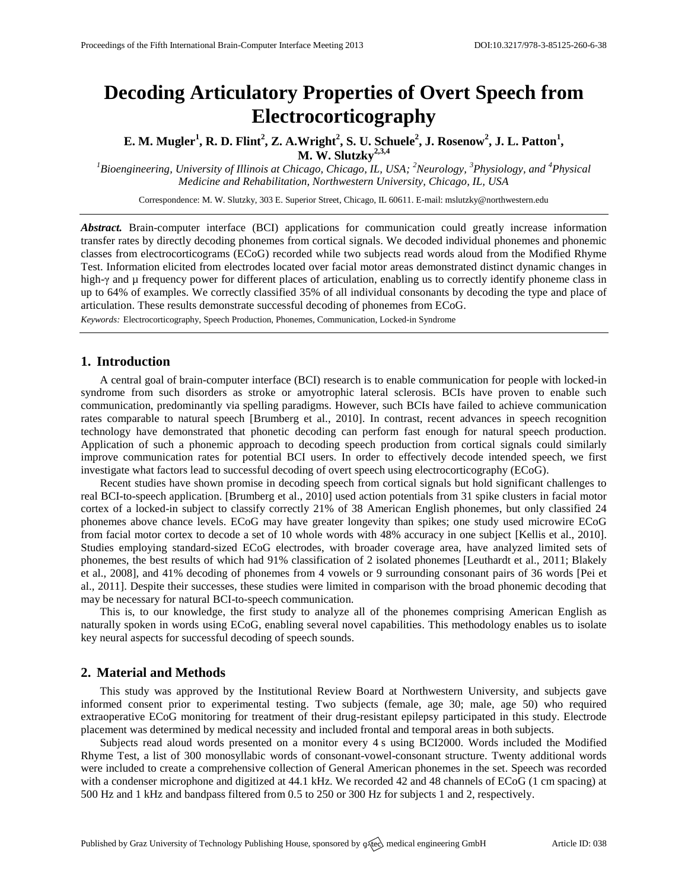# **Decoding Articulatory Properties of Overt Speech from Electrocorticography**

**E. M. Mugler<sup>1</sup> , R. D. Flint<sup>2</sup> , Z. A.Wright<sup>2</sup> , S. U. Schuele<sup>2</sup> , J. Rosenow<sup>2</sup> , J. L. Patton<sup>1</sup> , M. W. Slutzky2,3,4**

*<sup>1</sup>Bioengineering, University of Illinois at Chicago, Chicago, IL, USA; <sup>2</sup>Neurology, <sup>3</sup>Physiology, and <sup>4</sup>Physical Medicine and Rehabilitation, Northwestern University, Chicago, IL, USA*

Correspondence: M. W. Slutzky, 303 E. Superior Street, Chicago, IL 60611. E-mail: [mslutzky@northwestern.edu](mailto:mslutzky@northwestern.edu)

*Abstract.* Brain-computer interface (BCI) applications for communication could greatly increase information transfer rates by directly decoding phonemes from cortical signals. We decoded individual phonemes and phonemic classes from electrocorticograms (ECoG) recorded while two subjects read words aloud from the Modified Rhyme Test. Information elicited from electrodes located over facial motor areas demonstrated distinct dynamic changes in high-γ and µ frequency power for different places of articulation, enabling us to correctly identify phoneme class in up to 64% of examples. We correctly classified 35% of all individual consonants by decoding the type and place of articulation. These results demonstrate successful decoding of phonemes from ECoG.

*Keywords:* Electrocorticography, Speech Production, Phonemes, Communication, Locked-in Syndrome

## **1. Introduction**

A central goal of brain-computer interface (BCI) research is to enable communication for people with locked-in syndrome from such disorders as stroke or amyotrophic lateral sclerosis. BCIs have proven to enable such communication, predominantly via spelling paradigms. However, such BCIs have failed to achieve communication rates comparable to natural speech [Brumberg et al., 2010]. In contrast, recent advances in speech recognition technology have demonstrated that phonetic decoding can perform fast enough for natural speech production. Application of such a phonemic approach to decoding speech production from cortical signals could similarly improve communication rates for potential BCI users. In order to effectively decode intended speech, we first investigate what factors lead to successful decoding of overt speech using electrocorticography (ECoG).

Recent studies have shown promise in decoding speech from cortical signals but hold significant challenges to real BCI-to-speech application. [Brumberg et al., 2010] used action potentials from 31 spike clusters in facial motor cortex of a locked-in subject to classify correctly 21% of 38 American English phonemes, but only classified 24 phonemes above chance levels. ECoG may have greater longevity than spikes; one study used microwire ECoG from facial motor cortex to decode a set of 10 whole words with 48% accuracy in one subject [Kellis et al., 2010]. Studies employing standard-sized ECoG electrodes, with broader coverage area, have analyzed limited sets of phonemes, the best results of which had 91% classification of 2 isolated phonemes [Leuthardt et al., 2011; Blakely et al., 2008], and 41% decoding of phonemes from 4 vowels or 9 surrounding consonant pairs of 36 words [Pei et al., 2011]. Despite their successes, these studies were limited in comparison with the broad phonemic decoding that may be necessary for natural BCI-to-speech communication.

This is, to our knowledge, the first study to analyze all of the phonemes comprising American English as naturally spoken in words using ECoG, enabling several novel capabilities. This methodology enables us to isolate key neural aspects for successful decoding of speech sounds.

#### **2. Material and Methods**

This study was approved by the Institutional Review Board at Northwestern University, and subjects gave informed consent prior to experimental testing. Two subjects (female, age 30; male, age 50) who required extraoperative ECoG monitoring for treatment of their drug-resistant epilepsy participated in this study. Electrode placement was determined by medical necessity and included frontal and temporal areas in both subjects.

Subjects read aloud words presented on a monitor every 4 s using BCI2000. Words included the Modified Rhyme Test, a list of 300 monosyllabic words of consonant-vowel-consonant structure. Twenty additional words were included to create a comprehensive collection of General American phonemes in the set. Speech was recorded with a condenser microphone and digitized at 44.1 kHz. We recorded 42 and 48 channels of ECoG (1 cm spacing) at 500 Hz and 1 kHz and bandpass filtered from 0.5 to 250 or 300 Hz for subjects 1 and 2, respectively.